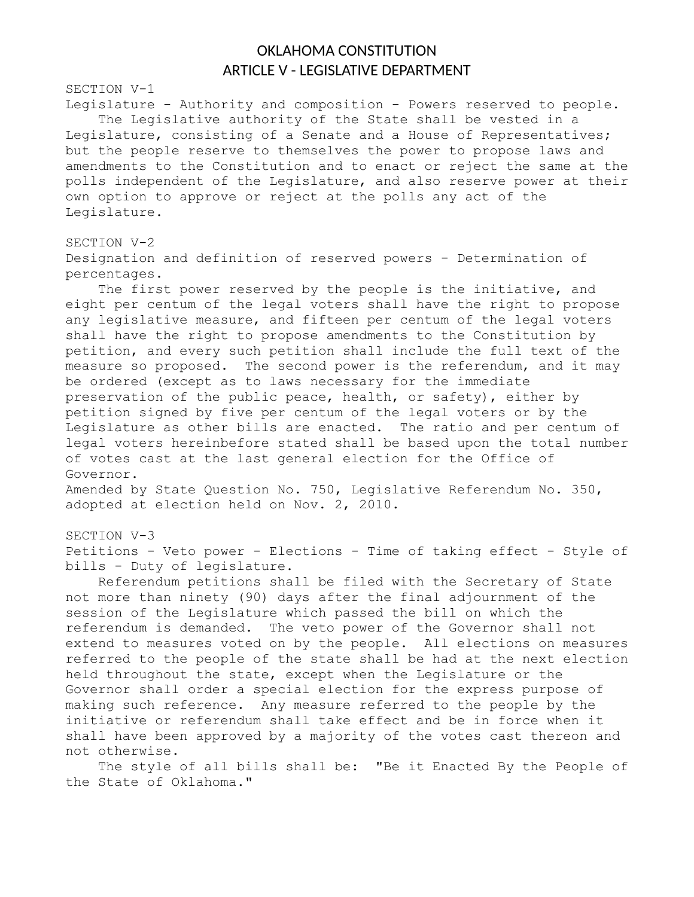## OKLAHOMA CONSTITUTION ARTICLE V - LEGISLATIVE DEPARTMENT

SECTION V-1

# Legislature - Authority and composition - Powers reserved to people.

The Legislative authority of the State shall be vested in a Legislature, consisting of a Senate and a House of Representatives; but the people reserve to themselves the power to propose laws and amendments to the Constitution and to enact or reject the same at the polls independent of the Legislature, and also reserve power at their own option to approve or reject at the polls any act of the Legislature.

#### SECTION V-2

Designation and definition of reserved powers - Determination of percentages.

The first power reserved by the people is the initiative, and eight per centum of the legal voters shall have the right to propose any legislative measure, and fifteen per centum of the legal voters shall have the right to propose amendments to the Constitution by petition, and every such petition shall include the full text of the measure so proposed. The second power is the referendum, and it may be ordered (except as to laws necessary for the immediate preservation of the public peace, health, or safety), either by petition signed by five per centum of the legal voters or by the Legislature as other bills are enacted. The ratio and per centum of legal voters hereinbefore stated shall be based upon the total number of votes cast at the last general election for the Office of Governor.

Amended by State Question No. 750, Legislative Referendum No. 350, adopted at election held on Nov. 2, 2010.

## SECTION V-3

Petitions - Veto power - Elections - Time of taking effect - Style of bills - Duty of legislature.

Referendum petitions shall be filed with the Secretary of State not more than ninety (90) days after the final adjournment of the session of the Legislature which passed the bill on which the referendum is demanded. The veto power of the Governor shall not extend to measures voted on by the people. All elections on measures referred to the people of the state shall be had at the next election held throughout the state, except when the Legislature or the Governor shall order a special election for the express purpose of making such reference. Any measure referred to the people by the initiative or referendum shall take effect and be in force when it shall have been approved by a majority of the votes cast thereon and not otherwise.

The style of all bills shall be: "Be it Enacted By the People of the State of Oklahoma."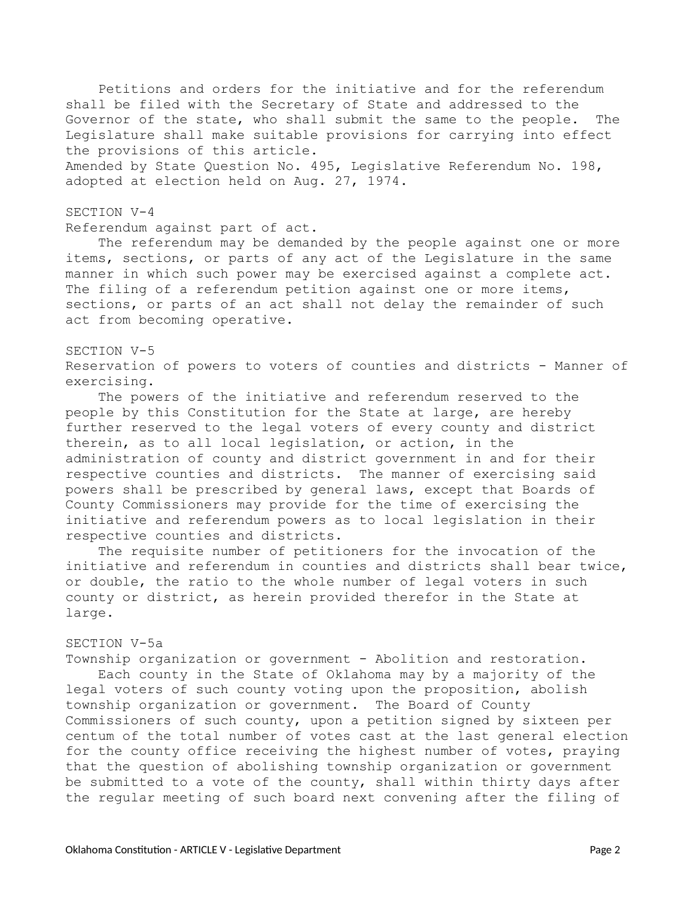Petitions and orders for the initiative and for the referendum shall be filed with the Secretary of State and addressed to the Governor of the state, who shall submit the same to the people. The Legislature shall make suitable provisions for carrying into effect the provisions of this article.

Amended by State Question No. 495, Legislative Referendum No. 198, adopted at election held on Aug. 27, 1974.

## SECTION V-4

Referendum against part of act.

The referendum may be demanded by the people against one or more items, sections, or parts of any act of the Legislature in the same manner in which such power may be exercised against a complete act. The filing of a referendum petition against one or more items, sections, or parts of an act shall not delay the remainder of such act from becoming operative.

#### SECTION V-5

Reservation of powers to voters of counties and districts - Manner of exercising.

The powers of the initiative and referendum reserved to the people by this Constitution for the State at large, are hereby further reserved to the legal voters of every county and district therein, as to all local legislation, or action, in the administration of county and district government in and for their respective counties and districts. The manner of exercising said powers shall be prescribed by general laws, except that Boards of County Commissioners may provide for the time of exercising the initiative and referendum powers as to local legislation in their respective counties and districts.

The requisite number of petitioners for the invocation of the initiative and referendum in counties and districts shall bear twice, or double, the ratio to the whole number of legal voters in such county or district, as herein provided therefor in the State at large.

#### SECTION V-5a

Township organization or government - Abolition and restoration. Each county in the State of Oklahoma may by a majority of the legal voters of such county voting upon the proposition, abolish township organization or government. The Board of County Commissioners of such county, upon a petition signed by sixteen per centum of the total number of votes cast at the last general election for the county office receiving the highest number of votes, praying that the question of abolishing township organization or government be submitted to a vote of the county, shall within thirty days after the regular meeting of such board next convening after the filing of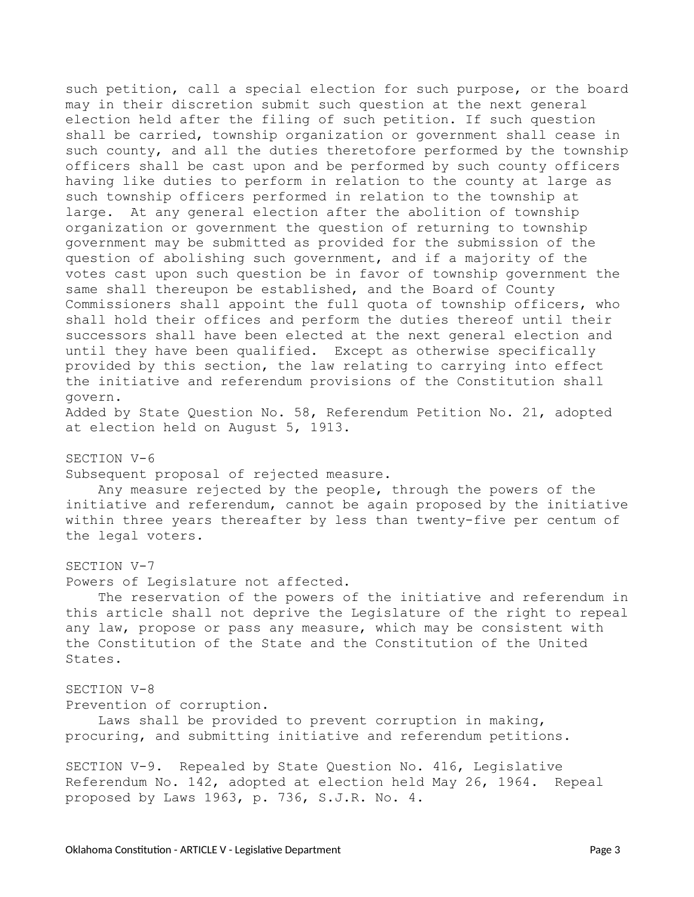such petition, call a special election for such purpose, or the board may in their discretion submit such question at the next general election held after the filing of such petition. If such question shall be carried, township organization or government shall cease in such county, and all the duties theretofore performed by the township officers shall be cast upon and be performed by such county officers having like duties to perform in relation to the county at large as such township officers performed in relation to the township at large. At any general election after the abolition of township organization or government the question of returning to township government may be submitted as provided for the submission of the question of abolishing such government, and if a majority of the votes cast upon such question be in favor of township government the same shall thereupon be established, and the Board of County Commissioners shall appoint the full quota of township officers, who shall hold their offices and perform the duties thereof until their successors shall have been elected at the next general election and until they have been qualified. Except as otherwise specifically provided by this section, the law relating to carrying into effect the initiative and referendum provisions of the Constitution shall govern.

Added by State Question No. 58, Referendum Petition No. 21, adopted at election held on August 5, 1913.

#### SECTION V-6

Subsequent proposal of rejected measure.

Any measure rejected by the people, through the powers of the initiative and referendum, cannot be again proposed by the initiative within three years thereafter by less than twenty-five per centum of the legal voters.

#### SECTION V-7

Powers of Legislature not affected.

The reservation of the powers of the initiative and referendum in this article shall not deprive the Legislature of the right to repeal any law, propose or pass any measure, which may be consistent with the Constitution of the State and the Constitution of the United States.

#### SECTION V-8

Prevention of corruption.

Laws shall be provided to prevent corruption in making, procuring, and submitting initiative and referendum petitions.

SECTION V-9. Repealed by State Question No. 416, Legislative Referendum No. 142, adopted at election held May 26, 1964. Repeal proposed by Laws 1963, p. 736, S.J.R. No. 4.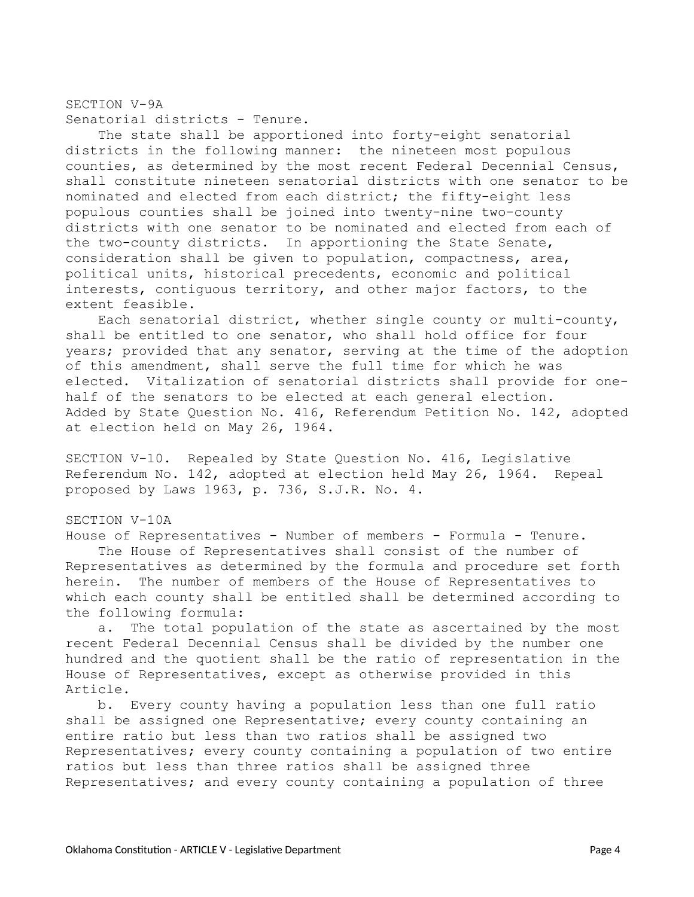## SECTION V-9A Senatorial districts - Tenure.

The state shall be apportioned into forty-eight senatorial districts in the following manner: the nineteen most populous counties, as determined by the most recent Federal Decennial Census, shall constitute nineteen senatorial districts with one senator to be nominated and elected from each district; the fifty-eight less populous counties shall be joined into twenty-nine two-county districts with one senator to be nominated and elected from each of the two-county districts. In apportioning the State Senate, consideration shall be given to population, compactness, area, political units, historical precedents, economic and political interests, contiguous territory, and other major factors, to the extent feasible.

Each senatorial district, whether single county or multi-county, shall be entitled to one senator, who shall hold office for four years; provided that any senator, serving at the time of the adoption of this amendment, shall serve the full time for which he was elected. Vitalization of senatorial districts shall provide for onehalf of the senators to be elected at each general election. Added by State Question No. 416, Referendum Petition No. 142, adopted at election held on May 26, 1964.

SECTION V-10. Repealed by State Question No. 416, Legislative Referendum No. 142, adopted at election held May 26, 1964. Repeal proposed by Laws 1963, p. 736, S.J.R. No. 4.

### SECTION V-10A

House of Representatives - Number of members - Formula - Tenure.

The House of Representatives shall consist of the number of Representatives as determined by the formula and procedure set forth herein. The number of members of the House of Representatives to which each county shall be entitled shall be determined according to the following formula:

a. The total population of the state as ascertained by the most recent Federal Decennial Census shall be divided by the number one hundred and the quotient shall be the ratio of representation in the House of Representatives, except as otherwise provided in this Article.

b. Every county having a population less than one full ratio shall be assigned one Representative; every county containing an entire ratio but less than two ratios shall be assigned two Representatives; every county containing a population of two entire ratios but less than three ratios shall be assigned three Representatives; and every county containing a population of three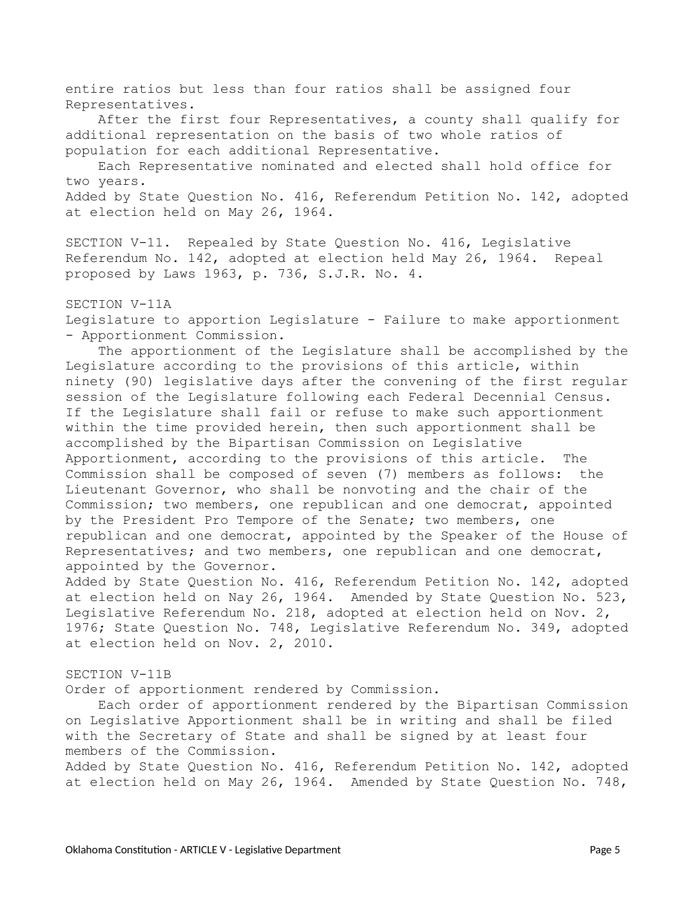entire ratios but less than four ratios shall be assigned four Representatives.

After the first four Representatives, a county shall qualify for additional representation on the basis of two whole ratios of population for each additional Representative.

Each Representative nominated and elected shall hold office for two years.

Added by State Question No. 416, Referendum Petition No. 142, adopted at election held on May 26, 1964.

SECTION V-11. Repealed by State Question No. 416, Legislative Referendum No. 142, adopted at election held May 26, 1964. Repeal proposed by Laws 1963, p. 736, S.J.R. No. 4.

#### SECTION V-11A

Legislature to apportion Legislature - Failure to make apportionment - Apportionment Commission.

The apportionment of the Legislature shall be accomplished by the Legislature according to the provisions of this article, within ninety (90) legislative days after the convening of the first regular session of the Legislature following each Federal Decennial Census. If the Legislature shall fail or refuse to make such apportionment within the time provided herein, then such apportionment shall be accomplished by the Bipartisan Commission on Legislative Apportionment, according to the provisions of this article. The Commission shall be composed of seven (7) members as follows: the Lieutenant Governor, who shall be nonvoting and the chair of the Commission; two members, one republican and one democrat, appointed by the President Pro Tempore of the Senate; two members, one republican and one democrat, appointed by the Speaker of the House of Representatives; and two members, one republican and one democrat, appointed by the Governor.

Added by State Question No. 416, Referendum Petition No. 142, adopted at election held on Nay 26, 1964. Amended by State Question No. 523, Legislative Referendum No. 218, adopted at election held on Nov. 2, 1976; State Question No. 748, Legislative Referendum No. 349, adopted at election held on Nov. 2, 2010.

#### SECTION V-11B

Order of apportionment rendered by Commission.

Each order of apportionment rendered by the Bipartisan Commission on Legislative Apportionment shall be in writing and shall be filed with the Secretary of State and shall be signed by at least four members of the Commission.

Added by State Question No. 416, Referendum Petition No. 142, adopted at election held on May 26, 1964. Amended by State Question No. 748,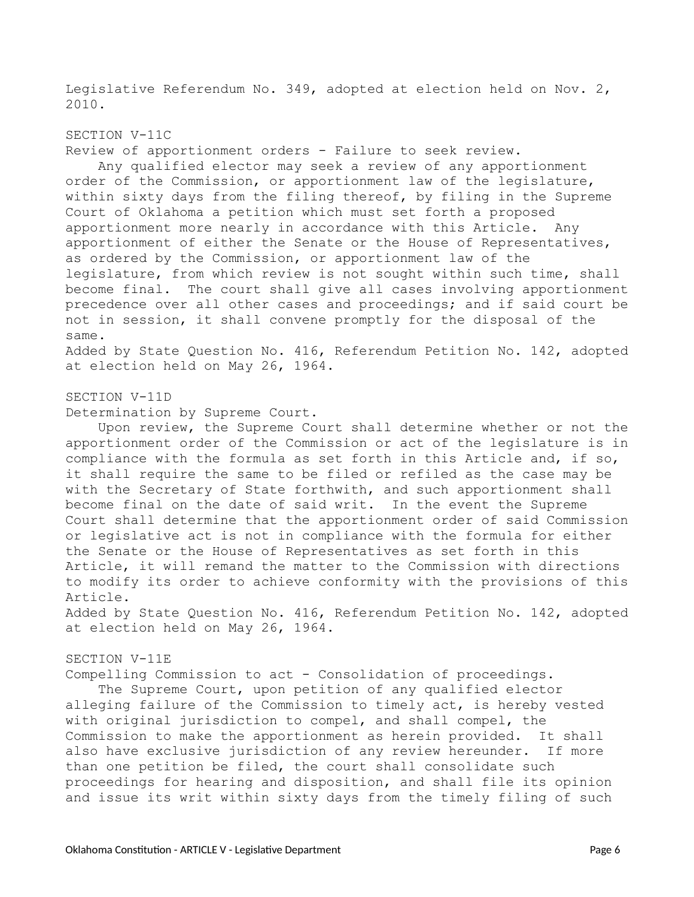Legislative Referendum No. 349, adopted at election held on Nov. 2, 2010.

## SECTION V-11C Review of apportionment orders - Failure to seek review.

Any qualified elector may seek a review of any apportionment order of the Commission, or apportionment law of the legislature, within sixty days from the filing thereof, by filing in the Supreme Court of Oklahoma a petition which must set forth a proposed apportionment more nearly in accordance with this Article. Any apportionment of either the Senate or the House of Representatives, as ordered by the Commission, or apportionment law of the legislature, from which review is not sought within such time, shall become final. The court shall give all cases involving apportionment precedence over all other cases and proceedings; and if said court be not in session, it shall convene promptly for the disposal of the same.

Added by State Question No. 416, Referendum Petition No. 142, adopted at election held on May 26, 1964.

#### SECTION V-11D

Determination by Supreme Court.

Upon review, the Supreme Court shall determine whether or not the apportionment order of the Commission or act of the legislature is in compliance with the formula as set forth in this Article and, if so, it shall require the same to be filed or refiled as the case may be with the Secretary of State forthwith, and such apportionment shall become final on the date of said writ. In the event the Supreme Court shall determine that the apportionment order of said Commission or legislative act is not in compliance with the formula for either the Senate or the House of Representatives as set forth in this Article, it will remand the matter to the Commission with directions to modify its order to achieve conformity with the provisions of this Article.

Added by State Question No. 416, Referendum Petition No. 142, adopted at election held on May 26, 1964.

#### SECTION V-11E

Compelling Commission to act - Consolidation of proceedings.

The Supreme Court, upon petition of any qualified elector alleging failure of the Commission to timely act, is hereby vested with original jurisdiction to compel, and shall compel, the Commission to make the apportionment as herein provided. It shall also have exclusive jurisdiction of any review hereunder. If more than one petition be filed, the court shall consolidate such proceedings for hearing and disposition, and shall file its opinion and issue its writ within sixty days from the timely filing of such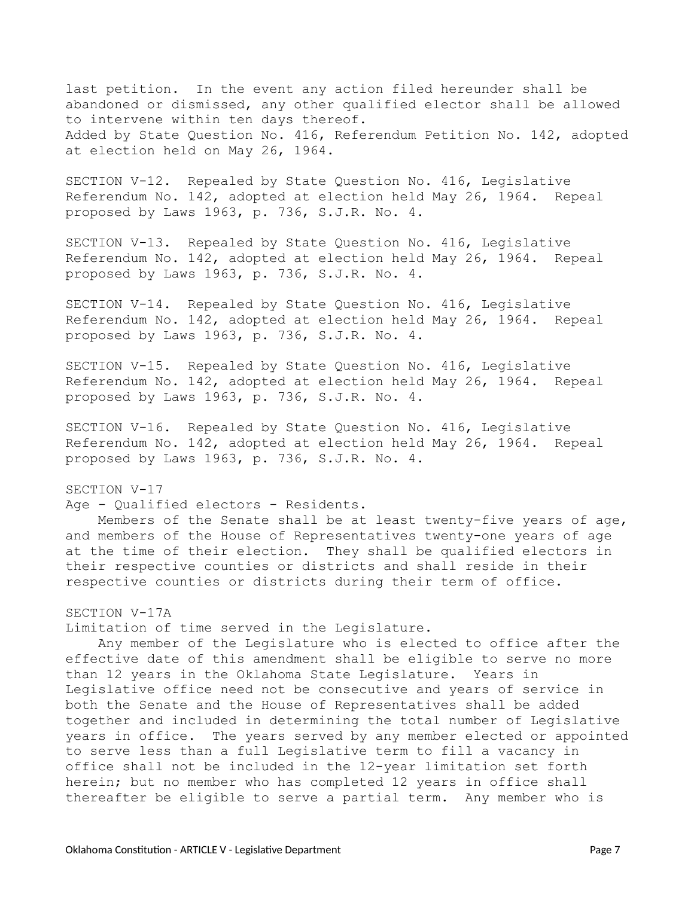last petition. In the event any action filed hereunder shall be abandoned or dismissed, any other qualified elector shall be allowed to intervene within ten days thereof. Added by State Question No. 416, Referendum Petition No. 142, adopted at election held on May 26, 1964.

SECTION V-12. Repealed by State Question No. 416, Legislative Referendum No. 142, adopted at election held May 26, 1964. Repeal proposed by Laws 1963, p. 736, S.J.R. No. 4.

SECTION V-13. Repealed by State Question No. 416, Legislative Referendum No. 142, adopted at election held May 26, 1964. Repeal proposed by Laws 1963, p. 736, S.J.R. No. 4.

SECTION V-14. Repealed by State Question No. 416, Legislative Referendum No. 142, adopted at election held May 26, 1964. Repeal proposed by Laws 1963, p. 736, S.J.R. No. 4.

SECTION V-15. Repealed by State Question No. 416, Legislative Referendum No. 142, adopted at election held May 26, 1964. Repeal proposed by Laws 1963, p. 736, S.J.R. No. 4.

SECTION V-16. Repealed by State Question No. 416, Legislative Referendum No. 142, adopted at election held May 26, 1964. Repeal proposed by Laws 1963, p. 736, S.J.R. No. 4.

SECTION V-17

Age - Qualified electors - Residents.

Members of the Senate shall be at least twenty-five years of age, and members of the House of Representatives twenty-one years of age at the time of their election. They shall be qualified electors in their respective counties or districts and shall reside in their respective counties or districts during their term of office.

#### SECTION V-17A

Limitation of time served in the Legislature.

Any member of the Legislature who is elected to office after the effective date of this amendment shall be eligible to serve no more than 12 years in the Oklahoma State Legislature. Years in Legislative office need not be consecutive and years of service in both the Senate and the House of Representatives shall be added together and included in determining the total number of Legislative years in office. The years served by any member elected or appointed to serve less than a full Legislative term to fill a vacancy in office shall not be included in the 12-year limitation set forth herein; but no member who has completed 12 years in office shall thereafter be eligible to serve a partial term. Any member who is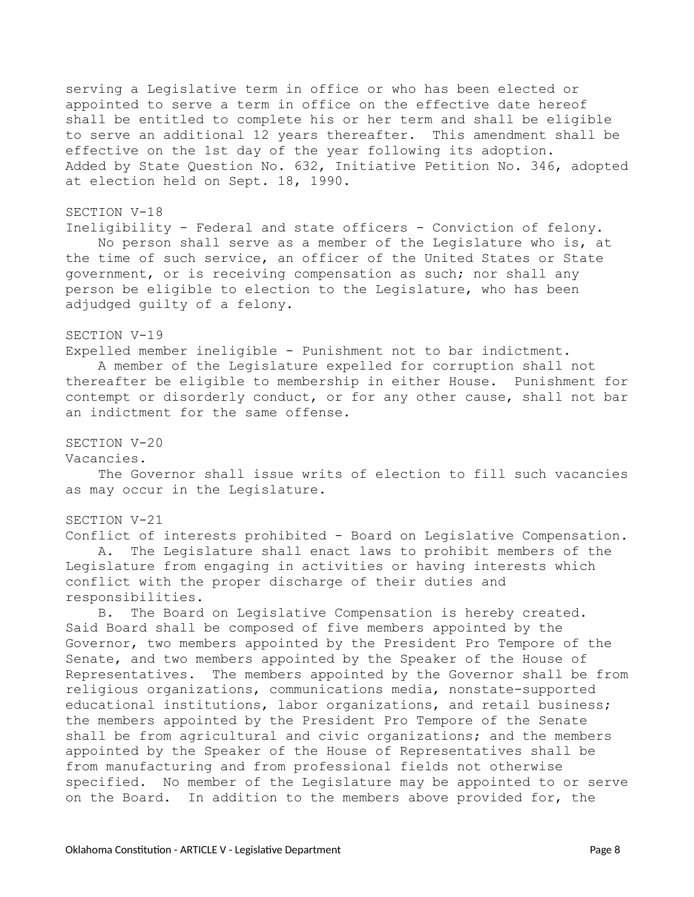serving a Legislative term in office or who has been elected or appointed to serve a term in office on the effective date hereof shall be entitled to complete his or her term and shall be eligible to serve an additional 12 years thereafter. This amendment shall be effective on the 1st day of the year following its adoption. Added by State Question No. 632, Initiative Petition No. 346, adopted at election held on Sept. 18, 1990.

#### SECTION V-18

Ineligibility - Federal and state officers - Conviction of felony. No person shall serve as a member of the Legislature who is, at the time of such service, an officer of the United States or State government, or is receiving compensation as such; nor shall any person be eligible to election to the Legislature, who has been adjudged guilty of a felony.

#### SECTION V-19

Expelled member ineligible - Punishment not to bar indictment.

A member of the Legislature expelled for corruption shall not thereafter be eligible to membership in either House. Punishment for contempt or disorderly conduct, or for any other cause, shall not bar an indictment for the same offense.

#### SECTION V-20

#### Vacancies.

The Governor shall issue writs of election to fill such vacancies as may occur in the Legislature.

#### SECTION V-21

Conflict of interests prohibited - Board on Legislative Compensation. A. The Legislature shall enact laws to prohibit members of the

Legislature from engaging in activities or having interests which conflict with the proper discharge of their duties and responsibilities.

B. The Board on Legislative Compensation is hereby created. Said Board shall be composed of five members appointed by the Governor, two members appointed by the President Pro Tempore of the Senate, and two members appointed by the Speaker of the House of Representatives. The members appointed by the Governor shall be from religious organizations, communications media, nonstate-supported educational institutions, labor organizations, and retail business; the members appointed by the President Pro Tempore of the Senate shall be from agricultural and civic organizations; and the members appointed by the Speaker of the House of Representatives shall be from manufacturing and from professional fields not otherwise specified. No member of the Legislature may be appointed to or serve on the Board. In addition to the members above provided for, the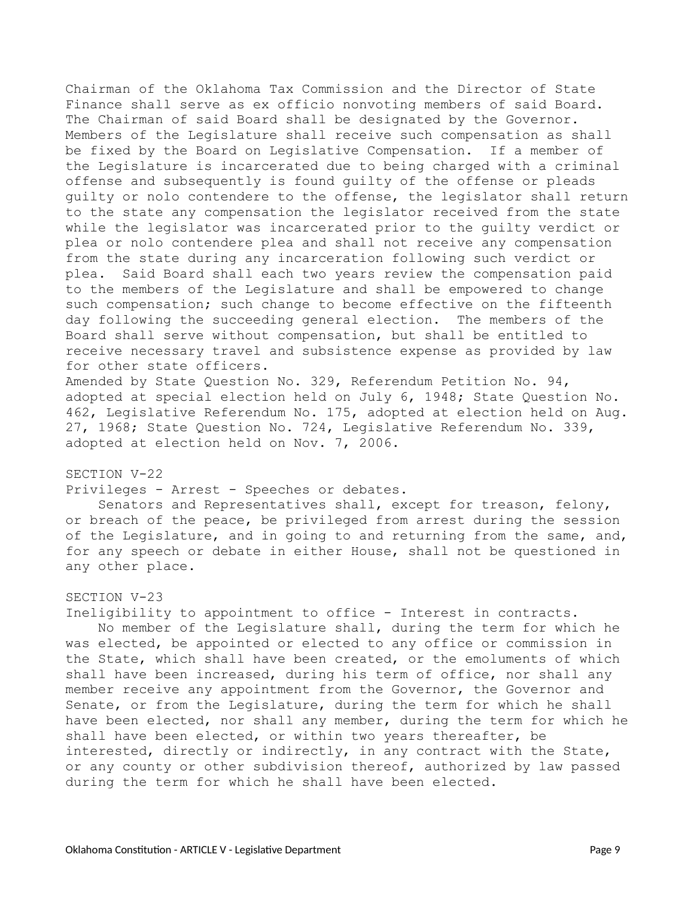Chairman of the Oklahoma Tax Commission and the Director of State Finance shall serve as ex officio nonvoting members of said Board. The Chairman of said Board shall be designated by the Governor. Members of the Legislature shall receive such compensation as shall be fixed by the Board on Legislative Compensation. If a member of the Legislature is incarcerated due to being charged with a criminal offense and subsequently is found guilty of the offense or pleads guilty or nolo contendere to the offense, the legislator shall return to the state any compensation the legislator received from the state while the legislator was incarcerated prior to the guilty verdict or plea or nolo contendere plea and shall not receive any compensation from the state during any incarceration following such verdict or plea. Said Board shall each two years review the compensation paid to the members of the Legislature and shall be empowered to change such compensation; such change to become effective on the fifteenth day following the succeeding general election. The members of the Board shall serve without compensation, but shall be entitled to receive necessary travel and subsistence expense as provided by law for other state officers.

Amended by State Question No. 329, Referendum Petition No. 94, adopted at special election held on July 6, 1948; State Question No. 462, Legislative Referendum No. 175, adopted at election held on Aug. 27, 1968; State Question No. 724, Legislative Referendum No. 339, adopted at election held on Nov. 7, 2006.

#### SECTION V-22

Privileges - Arrest - Speeches or debates.

Senators and Representatives shall, except for treason, felony, or breach of the peace, be privileged from arrest during the session of the Legislature, and in going to and returning from the same, and, for any speech or debate in either House, shall not be questioned in any other place.

#### SECTION V-23

Ineligibility to appointment to office - Interest in contracts.

No member of the Legislature shall, during the term for which he was elected, be appointed or elected to any office or commission in the State, which shall have been created, or the emoluments of which shall have been increased, during his term of office, nor shall any member receive any appointment from the Governor, the Governor and Senate, or from the Legislature, during the term for which he shall have been elected, nor shall any member, during the term for which he shall have been elected, or within two years thereafter, be interested, directly or indirectly, in any contract with the State, or any county or other subdivision thereof, authorized by law passed during the term for which he shall have been elected.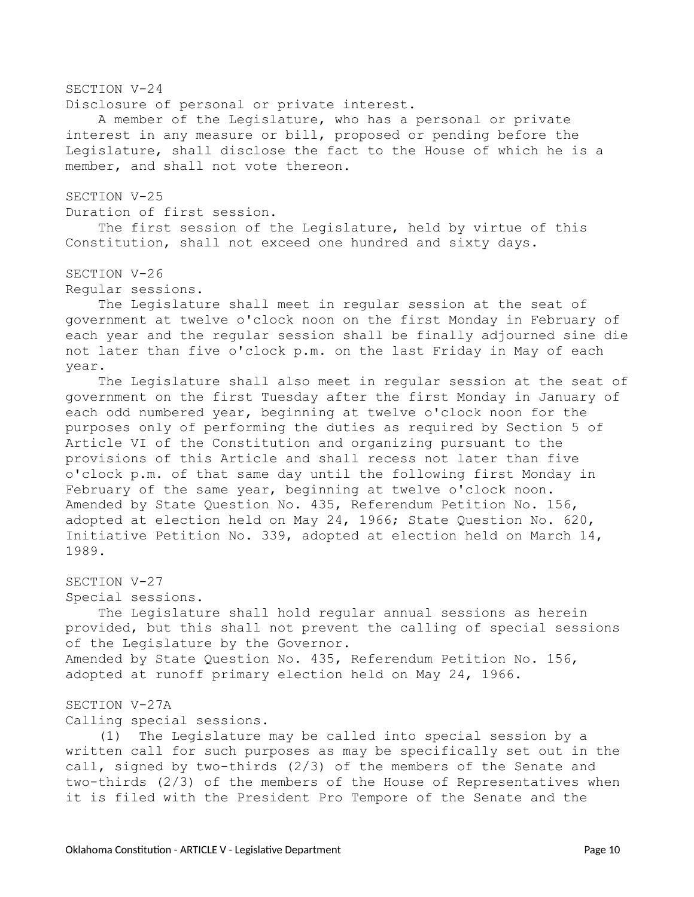#### SECTION V-24

Disclosure of personal or private interest.

A member of the Legislature, who has a personal or private interest in any measure or bill, proposed or pending before the Legislature, shall disclose the fact to the House of which he is a member, and shall not vote thereon.

#### SECTION V-25

Duration of first session.

The first session of the Legislature, held by virtue of this Constitution, shall not exceed one hundred and sixty days.

## SECTION V-26

Regular sessions.

The Legislature shall meet in regular session at the seat of government at twelve o'clock noon on the first Monday in February of each year and the regular session shall be finally adjourned sine die not later than five o'clock p.m. on the last Friday in May of each year.

The Legislature shall also meet in regular session at the seat of government on the first Tuesday after the first Monday in January of each odd numbered year, beginning at twelve o'clock noon for the purposes only of performing the duties as required by Section 5 of Article VI of the Constitution and organizing pursuant to the provisions of this Article and shall recess not later than five o'clock p.m. of that same day until the following first Monday in February of the same year, beginning at twelve o'clock noon. Amended by State Question No. 435, Referendum Petition No. 156, adopted at election held on May 24, 1966; State Question No. 620, Initiative Petition No. 339, adopted at election held on March 14, 1989.

## SECTION V-27

Special sessions.

The Legislature shall hold regular annual sessions as herein provided, but this shall not prevent the calling of special sessions of the Legislature by the Governor. Amended by State Question No. 435, Referendum Petition No. 156, adopted at runoff primary election held on May 24, 1966.

## SECTION V-27A

Calling special sessions.

(1) The Legislature may be called into special session by a written call for such purposes as may be specifically set out in the call, signed by two-thirds (2/3) of the members of the Senate and two-thirds (2/3) of the members of the House of Representatives when it is filed with the President Pro Tempore of the Senate and the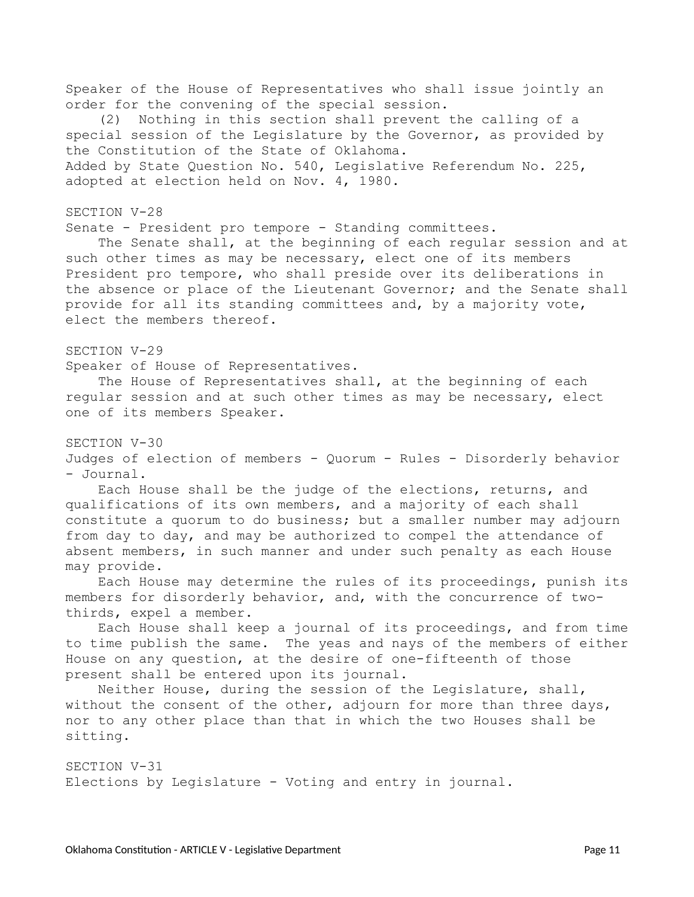Speaker of the House of Representatives who shall issue jointly an order for the convening of the special session.

(2) Nothing in this section shall prevent the calling of a special session of the Legislature by the Governor, as provided by the Constitution of the State of Oklahoma. Added by State Question No. 540, Legislative Referendum No. 225, adopted at election held on Nov. 4, 1980.

SECTION V-28

Senate - President pro tempore - Standing committees.

The Senate shall, at the beginning of each regular session and at such other times as may be necessary, elect one of its members President pro tempore, who shall preside over its deliberations in the absence or place of the Lieutenant Governor; and the Senate shall provide for all its standing committees and, by a majority vote, elect the members thereof.

SECTION V-29

Speaker of House of Representatives.

The House of Representatives shall, at the beginning of each regular session and at such other times as may be necessary, elect one of its members Speaker.

SECTION V-30

Judges of election of members - Quorum - Rules - Disorderly behavior - Journal.

Each House shall be the judge of the elections, returns, and qualifications of its own members, and a majority of each shall constitute a quorum to do business; but a smaller number may adjourn from day to day, and may be authorized to compel the attendance of absent members, in such manner and under such penalty as each House may provide.

Each House may determine the rules of its proceedings, punish its members for disorderly behavior, and, with the concurrence of twothirds, expel a member.

Each House shall keep a journal of its proceedings, and from time to time publish the same. The yeas and nays of the members of either House on any question, at the desire of one-fifteenth of those present shall be entered upon its journal.

Neither House, during the session of the Legislature, shall, without the consent of the other, adjourn for more than three days, nor to any other place than that in which the two Houses shall be sitting.

SECTION V-31 Elections by Legislature - Voting and entry in journal.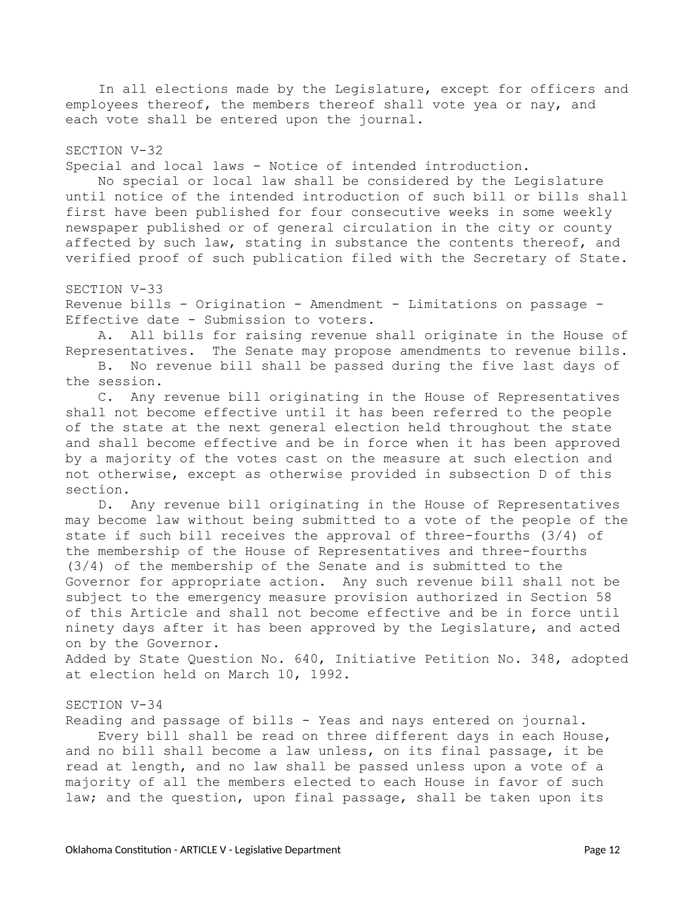In all elections made by the Legislature, except for officers and employees thereof, the members thereof shall vote yea or nay, and each vote shall be entered upon the journal.

### SECTION V-32

Special and local laws - Notice of intended introduction.

No special or local law shall be considered by the Legislature until notice of the intended introduction of such bill or bills shall first have been published for four consecutive weeks in some weekly newspaper published or of general circulation in the city or county affected by such law, stating in substance the contents thereof, and verified proof of such publication filed with the Secretary of State.

#### SECTION V-33

Revenue bills - Origination - Amendment - Limitations on passage - Effective date - Submission to voters.

A. All bills for raising revenue shall originate in the House of Representatives. The Senate may propose amendments to revenue bills.

B. No revenue bill shall be passed during the five last days of the session.

C. Any revenue bill originating in the House of Representatives shall not become effective until it has been referred to the people of the state at the next general election held throughout the state and shall become effective and be in force when it has been approved by a majority of the votes cast on the measure at such election and not otherwise, except as otherwise provided in subsection D of this section.

D. Any revenue bill originating in the House of Representatives may become law without being submitted to a vote of the people of the state if such bill receives the approval of three-fourths (3/4) of the membership of the House of Representatives and three-fourths (3/4) of the membership of the Senate and is submitted to the Governor for appropriate action. Any such revenue bill shall not be subject to the emergency measure provision authorized in Section 58 of this Article and shall not become effective and be in force until ninety days after it has been approved by the Legislature, and acted on by the Governor.

Added by State Question No. 640, Initiative Petition No. 348, adopted at election held on March 10, 1992.

## SECTION V-34

Reading and passage of bills - Yeas and nays entered on journal.

Every bill shall be read on three different days in each House, and no bill shall become a law unless, on its final passage, it be read at length, and no law shall be passed unless upon a vote of a majority of all the members elected to each House in favor of such law; and the question, upon final passage, shall be taken upon its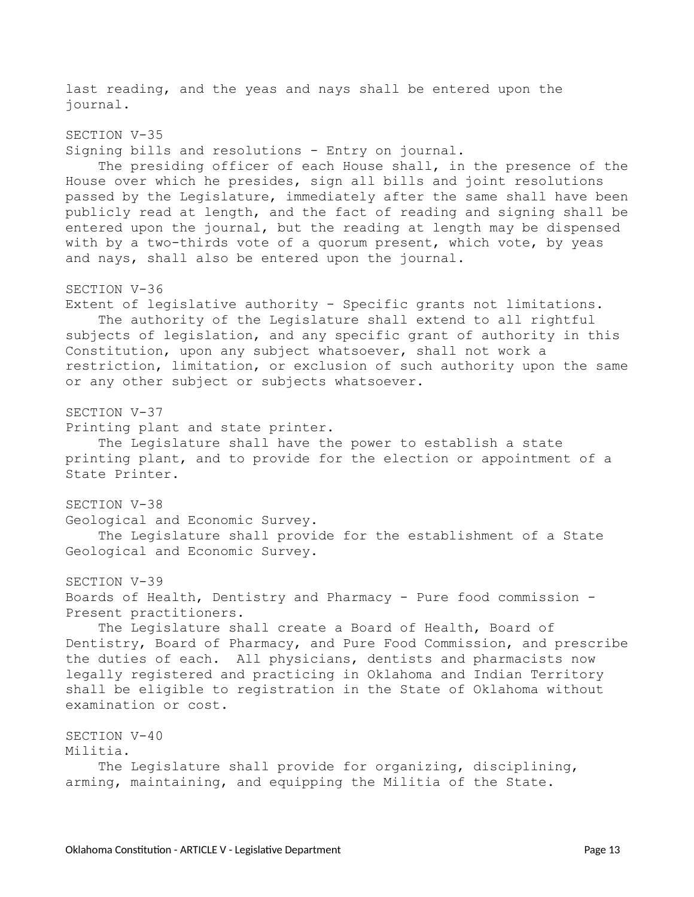last reading, and the yeas and nays shall be entered upon the journal. SECTION V-35 Signing bills and resolutions - Entry on journal. The presiding officer of each House shall, in the presence of the House over which he presides, sign all bills and joint resolutions passed by the Legislature, immediately after the same shall have been publicly read at length, and the fact of reading and signing shall be entered upon the journal, but the reading at length may be dispensed with by a two-thirds vote of a quorum present, which vote, by yeas and nays, shall also be entered upon the journal. SECTION V-36 Extent of legislative authority - Specific grants not limitations. The authority of the Legislature shall extend to all rightful subjects of legislation, and any specific grant of authority in this Constitution, upon any subject whatsoever, shall not work a restriction, limitation, or exclusion of such authority upon the same or any other subject or subjects whatsoever. SECTION V-37 Printing plant and state printer. The Legislature shall have the power to establish a state printing plant, and to provide for the election or appointment of a State Printer. SECTION V-38 Geological and Economic Survey. The Legislature shall provide for the establishment of a State Geological and Economic Survey. SECTION V-39 Boards of Health, Dentistry and Pharmacy - Pure food commission - Present practitioners. The Legislature shall create a Board of Health, Board of Dentistry, Board of Pharmacy, and Pure Food Commission, and prescribe the duties of each. All physicians, dentists and pharmacists now legally registered and practicing in Oklahoma and Indian Territory shall be eligible to registration in the State of Oklahoma without examination or cost. SECTION V-40 Militia. The Legislature shall provide for organizing, disciplining,

arming, maintaining, and equipping the Militia of the State.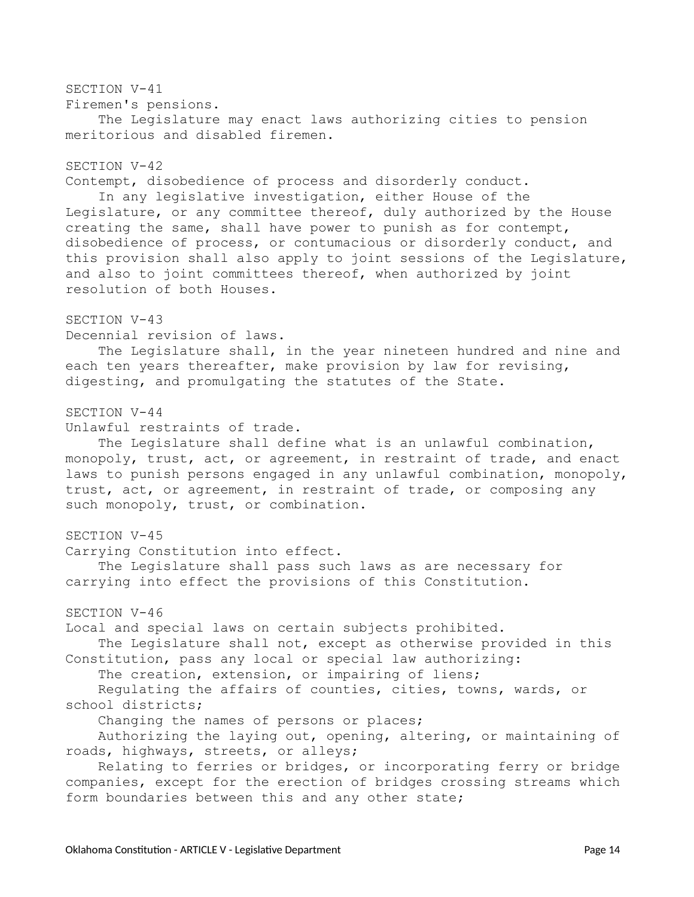# SECTION V-41 Firemen's pensions. The Legislature may enact laws authorizing cities to pension meritorious and disabled firemen. SECTION V-42 Contempt, disobedience of process and disorderly conduct. In any legislative investigation, either House of the Legislature, or any committee thereof, duly authorized by the House creating the same, shall have power to punish as for contempt, disobedience of process, or contumacious or disorderly conduct, and this provision shall also apply to joint sessions of the Legislature, and also to joint committees thereof, when authorized by joint resolution of both Houses. SECTION V-43 Decennial revision of laws. The Legislature shall, in the year nineteen hundred and nine and each ten years thereafter, make provision by law for revising, digesting, and promulgating the statutes of the State. SECTION V-44 Unlawful restraints of trade. The Legislature shall define what is an unlawful combination, monopoly, trust, act, or agreement, in restraint of trade, and enact laws to punish persons engaged in any unlawful combination, monopoly, trust, act, or agreement, in restraint of trade, or composing any such monopoly, trust, or combination. SECTION V-45 Carrying Constitution into effect. The Legislature shall pass such laws as are necessary for carrying into effect the provisions of this Constitution. SECTION V-46 Local and special laws on certain subjects prohibited. The Legislature shall not, except as otherwise provided in this Constitution, pass any local or special law authorizing: The creation, extension, or impairing of liens; Regulating the affairs of counties, cities, towns, wards, or school districts; Changing the names of persons or places; Authorizing the laying out, opening, altering, or maintaining of roads, highways, streets, or alleys; Relating to ferries or bridges, or incorporating ferry or bridge companies, except for the erection of bridges crossing streams which form boundaries between this and any other state;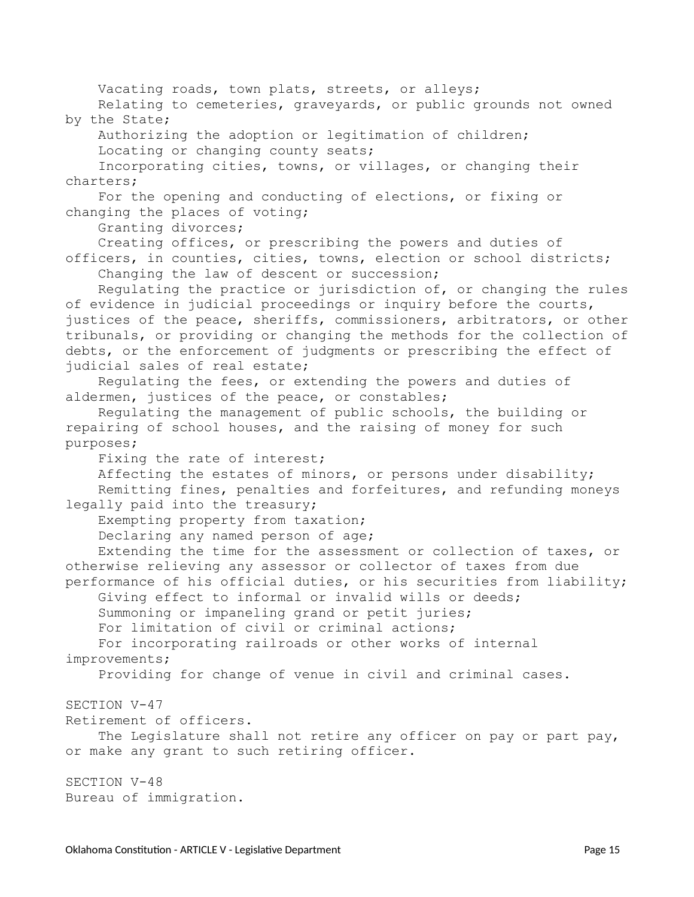Vacating roads, town plats, streets, or alleys; Relating to cemeteries, graveyards, or public grounds not owned by the State; Authorizing the adoption or legitimation of children; Locating or changing county seats; Incorporating cities, towns, or villages, or changing their charters; For the opening and conducting of elections, or fixing or changing the places of voting; Granting divorces; Creating offices, or prescribing the powers and duties of officers, in counties, cities, towns, election or school districts; Changing the law of descent or succession; Regulating the practice or jurisdiction of, or changing the rules of evidence in judicial proceedings or inquiry before the courts, justices of the peace, sheriffs, commissioners, arbitrators, or other tribunals, or providing or changing the methods for the collection of debts, or the enforcement of judgments or prescribing the effect of judicial sales of real estate; Regulating the fees, or extending the powers and duties of aldermen, justices of the peace, or constables; Regulating the management of public schools, the building or repairing of school houses, and the raising of money for such purposes; Fixing the rate of interest; Affecting the estates of minors, or persons under disability; Remitting fines, penalties and forfeitures, and refunding moneys legally paid into the treasury; Exempting property from taxation; Declaring any named person of age; Extending the time for the assessment or collection of taxes, or otherwise relieving any assessor or collector of taxes from due performance of his official duties, or his securities from liability; Giving effect to informal or invalid wills or deeds; Summoning or impaneling grand or petit juries; For limitation of civil or criminal actions; For incorporating railroads or other works of internal improvements; Providing for change of venue in civil and criminal cases. SECTION V-47 Retirement of officers. The Legislature shall not retire any officer on pay or part pay, or make any grant to such retiring officer. SECTION V-48 Bureau of immigration.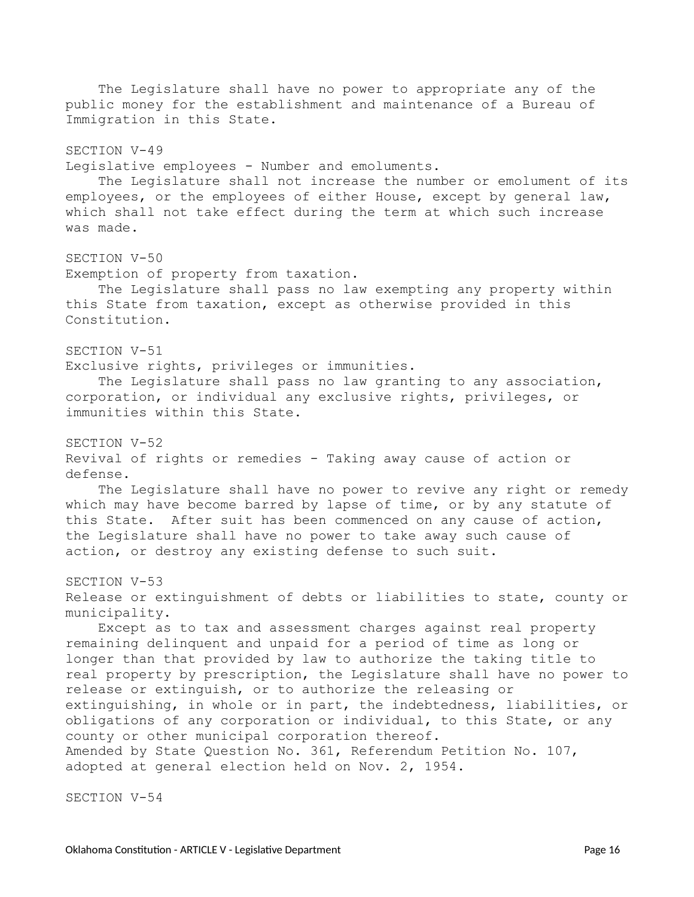The Legislature shall have no power to appropriate any of the public money for the establishment and maintenance of a Bureau of Immigration in this State. SECTION V-49 Legislative employees - Number and emoluments. The Legislature shall not increase the number or emolument of its employees, or the employees of either House, except by general law, which shall not take effect during the term at which such increase was made. SECTION V-50 Exemption of property from taxation. The Legislature shall pass no law exempting any property within this State from taxation, except as otherwise provided in this Constitution. SECTION V-51 Exclusive rights, privileges or immunities. The Legislature shall pass no law granting to any association, corporation, or individual any exclusive rights, privileges, or immunities within this State. SECTION V-52 Revival of rights or remedies - Taking away cause of action or defense. The Legislature shall have no power to revive any right or remedy which may have become barred by lapse of time, or by any statute of this State. After suit has been commenced on any cause of action, the Legislature shall have no power to take away such cause of action, or destroy any existing defense to such suit. SECTION V-53 Release or extinguishment of debts or liabilities to state, county or municipality. Except as to tax and assessment charges against real property remaining delinquent and unpaid for a period of time as long or longer than that provided by law to authorize the taking title to real property by prescription, the Legislature shall have no power to release or extinguish, or to authorize the releasing or extinguishing, in whole or in part, the indebtedness, liabilities, or obligations of any corporation or individual, to this State, or any county or other municipal corporation thereof. Amended by State Question No. 361, Referendum Petition No. 107, adopted at general election held on Nov. 2, 1954.

SECTION V-54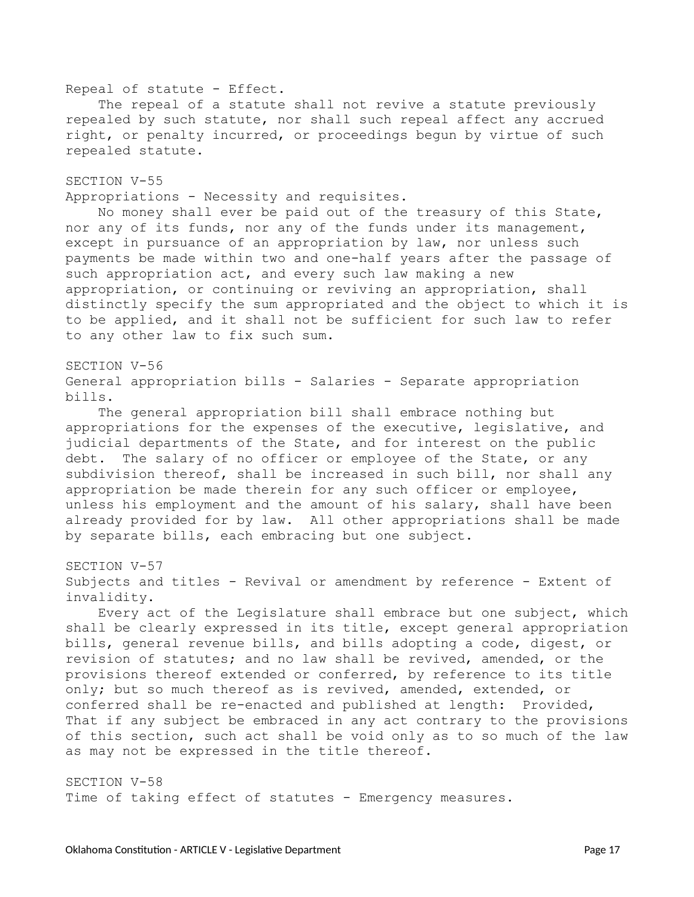#### Repeal of statute - Effect.

The repeal of a statute shall not revive a statute previously repealed by such statute, nor shall such repeal affect any accrued right, or penalty incurred, or proceedings begun by virtue of such repealed statute.

## SECTION V-55

Appropriations - Necessity and requisites.

No money shall ever be paid out of the treasury of this State, nor any of its funds, nor any of the funds under its management, except in pursuance of an appropriation by law, nor unless such payments be made within two and one-half years after the passage of such appropriation act, and every such law making a new appropriation, or continuing or reviving an appropriation, shall distinctly specify the sum appropriated and the object to which it is to be applied, and it shall not be sufficient for such law to refer to any other law to fix such sum.

### SECTION V-56

General appropriation bills - Salaries - Separate appropriation bills.

The general appropriation bill shall embrace nothing but appropriations for the expenses of the executive, legislative, and judicial departments of the State, and for interest on the public debt. The salary of no officer or employee of the State, or any subdivision thereof, shall be increased in such bill, nor shall any appropriation be made therein for any such officer or employee, unless his employment and the amount of his salary, shall have been already provided for by law. All other appropriations shall be made by separate bills, each embracing but one subject.

#### SECTION V-57

Subjects and titles - Revival or amendment by reference - Extent of invalidity.

Every act of the Legislature shall embrace but one subject, which shall be clearly expressed in its title, except general appropriation bills, general revenue bills, and bills adopting a code, digest, or revision of statutes; and no law shall be revived, amended, or the provisions thereof extended or conferred, by reference to its title only; but so much thereof as is revived, amended, extended, or conferred shall be re-enacted and published at length: Provided, That if any subject be embraced in any act contrary to the provisions of this section, such act shall be void only as to so much of the law as may not be expressed in the title thereof.

SECTION V-58 Time of taking effect of statutes - Emergency measures.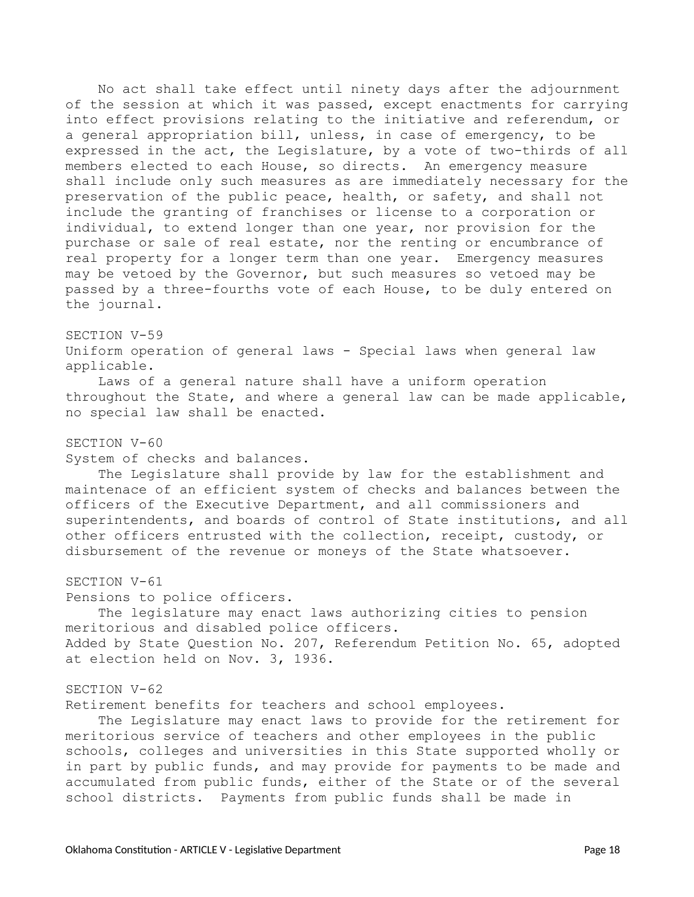No act shall take effect until ninety days after the adjournment of the session at which it was passed, except enactments for carrying into effect provisions relating to the initiative and referendum, or a general appropriation bill, unless, in case of emergency, to be expressed in the act, the Legislature, by a vote of two-thirds of all members elected to each House, so directs. An emergency measure shall include only such measures as are immediately necessary for the preservation of the public peace, health, or safety, and shall not include the granting of franchises or license to a corporation or individual, to extend longer than one year, nor provision for the purchase or sale of real estate, nor the renting or encumbrance of real property for a longer term than one year. Emergency measures may be vetoed by the Governor, but such measures so vetoed may be passed by a three-fourths vote of each House, to be duly entered on the journal.

#### SECTION V-59

Uniform operation of general laws - Special laws when general law applicable.

Laws of a general nature shall have a uniform operation throughout the State, and where a general law can be made applicable, no special law shall be enacted.

## SECTION V-60

System of checks and balances.

The Legislature shall provide by law for the establishment and maintenace of an efficient system of checks and balances between the officers of the Executive Department, and all commissioners and superintendents, and boards of control of State institutions, and all other officers entrusted with the collection, receipt, custody, or disbursement of the revenue or moneys of the State whatsoever.

## SECTION V-61

Pensions to police officers.

The legislature may enact laws authorizing cities to pension meritorious and disabled police officers. Added by State Question No. 207, Referendum Petition No. 65, adopted at election held on Nov. 3, 1936.

#### SECTION V-62

Retirement benefits for teachers and school employees.

The Legislature may enact laws to provide for the retirement for meritorious service of teachers and other employees in the public schools, colleges and universities in this State supported wholly or in part by public funds, and may provide for payments to be made and accumulated from public funds, either of the State or of the several school districts. Payments from public funds shall be made in